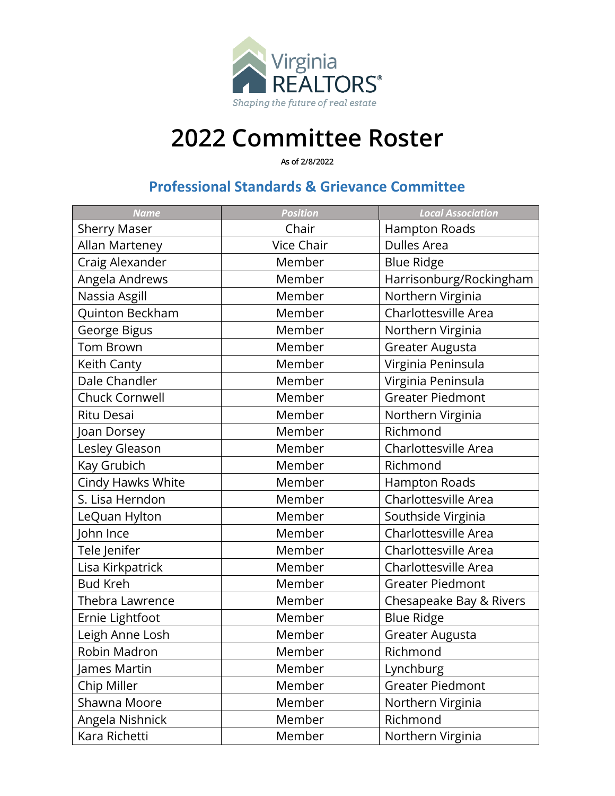

## **2022 Committee Roster**

**As of 2/8/2022**

## **Professional Standards & Grievance Committee**

| <b>Name</b>            | <b>Position</b>   | <b>Local Association</b> |
|------------------------|-------------------|--------------------------|
| <b>Sherry Maser</b>    | Chair             | Hampton Roads            |
| Allan Marteney         | <b>Vice Chair</b> | <b>Dulles Area</b>       |
| Craig Alexander        | Member            | <b>Blue Ridge</b>        |
| Angela Andrews         | Member            | Harrisonburg/Rockingham  |
| Nassia Asgill          | Member            | Northern Virginia        |
| Quinton Beckham        | Member            | Charlottesville Area     |
| George Bigus           | Member            | Northern Virginia        |
| <b>Tom Brown</b>       | Member            | Greater Augusta          |
| Keith Canty            | Member            | Virginia Peninsula       |
| Dale Chandler          | Member            | Virginia Peninsula       |
| Chuck Cornwell         | Member            | <b>Greater Piedmont</b>  |
| <b>Ritu Desai</b>      | Member            | Northern Virginia        |
| Joan Dorsey            | Member            | Richmond                 |
| Lesley Gleason         | Member            | Charlottesville Area     |
| Kay Grubich            | Member            | Richmond                 |
| Cindy Hawks White      | Member            | Hampton Roads            |
| S. Lisa Herndon        | Member            | Charlottesville Area     |
| LeQuan Hylton          | Member            | Southside Virginia       |
| John Ince              | Member            | Charlottesville Area     |
| Tele Jenifer           | Member            | Charlottesville Area     |
| Lisa Kirkpatrick       | Member            | Charlottesville Area     |
| <b>Bud Kreh</b>        | Member            | <b>Greater Piedmont</b>  |
| <b>Thebra Lawrence</b> | Member            | Chesapeake Bay & Rivers  |
| Ernie Lightfoot        | Member            | <b>Blue Ridge</b>        |
| Leigh Anne Losh        | Member            | Greater Augusta          |
| Robin Madron           | Member            | Richmond                 |
| James Martin           | Member            | Lynchburg                |
| Chip Miller            | Member            | <b>Greater Piedmont</b>  |
| Shawna Moore           | Member            | Northern Virginia        |
| Angela Nishnick        | Member            | Richmond                 |
| Kara Richetti          | Member            | Northern Virginia        |